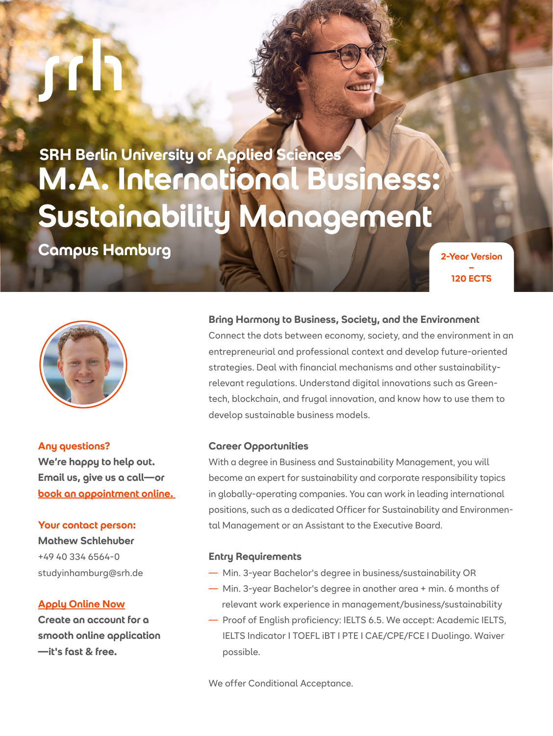**SRH Berlin University of Applied Sciences M.A. International Business: Sustainability Management**

**Campus Hamburg and Serversion Campus Hamburg** 





**Any questions?** 

**We're happy to help out. Email us, give us a call—or [book an appointment online.](https://outlook.office365.com/owa/calendar/SRHUniversity@srhk.onmicrosoft.com/bookings/)** 

### **Your contact person:**

**Mathew Schlehuber** +49 40 334 6564-0 studyinhamburg@srh.de

#### **[Apply Online Now](https://apply.srh.de/en_GB/courses/course/256-ma-international-business--focus-sustainability-management-120-ectshttp://)**

**Create an account for a smooth online application —it's fast & free.**

#### **Bring Harmony to Business, Society, and the Environment**

Connect the dots between economy, society, and the environment in an entrepreneurial and professional context and develop future-oriented strategies. Deal with financial mechanisms and other sustainabilityrelevant regulations. Understand digital innovations such as Greentech, blockchain, and frugal innovation, and know how to use them to develop sustainable business models.

#### **Career Opportunities**

With a degree in Business and Sustainability Management, you will become an expert for sustainability and corporate responsibility topics in globally-operating companies. You can work in leading international positions, such as a dedicated Officer for Sustainability and Environmental Management or an Assistant to the Executive Board.

#### **Entry Requirements**

- Min. 3-year Bachelor's degree in business/sustainability OR
- Min. 3-year Bachelor's degree in another area + min. 6 months of relevant work experience in management/business/sustainability
- Proof of English proficiency: IELTS 6.5. We accept: Academic IELTS, IELTS Indicator I TOEFL iBT I PTE I CAE/CPE/FCE I Duolingo. Waiver possible.

We offer Conditional Acceptance.